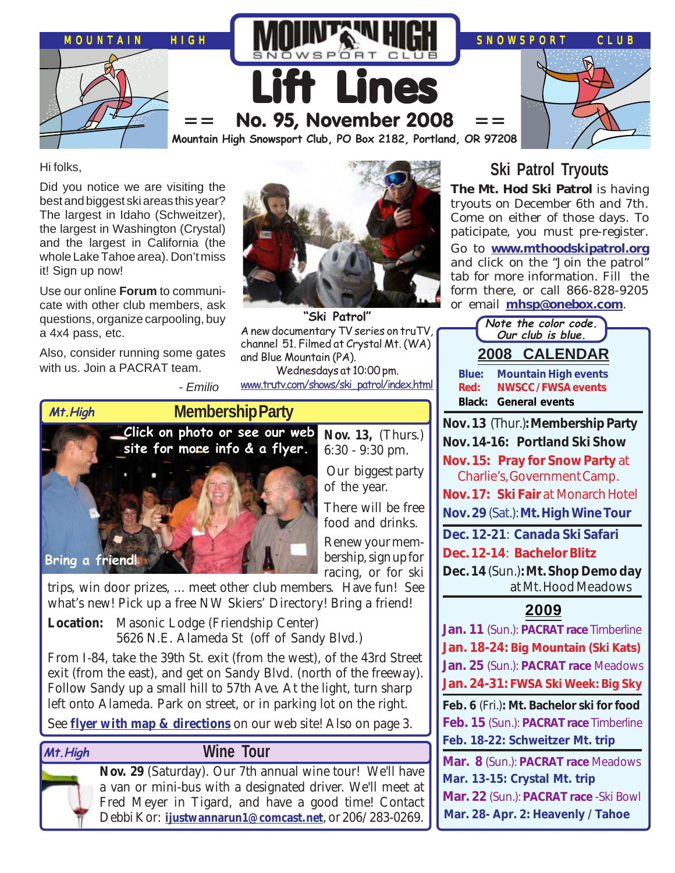

Hi folks,

Did you notice we are visiting the best and biggest ski areas this year? The largest in Idaho (Schweitzer), the largest in Washington (Crystal) and the largest in California (the whole Lake Tahoe area). Don't miss it! Sign up now!

Use our online **Forum** to communicate with other club members, ask questions, organize carpooling, buy a 4x4 pass, etc.

Also, consider running some gates with us. Join a PACRAT team.



**"Ski Patrol"** A new documentary TV series on truTV, channel 51. Filmed at Crystal Mt. (WA) and Blue Mountain (PA).

Wednesdays at 10:00 pm. [www.trutv.com/shows/ski\\_patrol/index.html](http://www.trutv.com/shows/ski_patrol/index.html)



- Emilio

**Nov. 13,** (Thurs.) 6:30 - 9:30 pm.

 Our biggest party of the year.

There will be free food and drinks. Renew your membership, sign up for racing, or for ski

trips, win door prizes, ... meet other club members. Have fun! See what's new! Pick up a free NW Skiers' Directory! Bring a friend!

**Location:** Masonic Lodge (Friendship Center) 5626 N.E. Alameda St (off of Sandy Blvd.)

From I-84, take the 39th St. exit (from the west), of the 43rd Street exit (from the east), and get on Sandy Blvd. (north of the freeway). Follow Sandy up a small hill to 57th Ave. At the light, turn sharp left onto Alameda. Park on street, or in parking lot on the right.

See **[flyer with map & directions](http://www.mthigh.org/Events.htm#Mt_High_Membership_Party)** on our web site! Also on page 3.

### **Mt.High**

# **Wine Tour**

**Nov. 29** (Saturday). Our 7th annual wine tour! We'll have a van or mini-bus with a designated driver. We'll meet at Fred Meyer in Tigard, and have a good time! Contact Debbi Kor: **[ijustwannarun1@comcast.net](mailto:Ijustwannarun1@comcast.net)**, or 206/283-0269.

# **Ski Patrol Tryouts**

**The Mt. Hod Ski Patrol** is having tryouts on December 6th and 7th. Come on either of those days. To paticipate, you must pre-register.

Go to **[www.mthoodskipatrol.org](http://www.mthoodskipatrol.org/)** and click on the "Join the patrol" tab for more information. Fill the form there, or call 866-828-9205 or email **[mhsp@onebox.com](mailto:mhsp@onebox.com)**.

| Note the color code.                                             |
|------------------------------------------------------------------|
| Our club is blue.                                                |
| <b>2008 CALENDAR</b>                                             |
| Blue:<br><b>Mountain High events</b>                             |
| <b>NWSCC/FWSA events</b><br>Red:<br><b>Black: General events</b> |
|                                                                  |
| Nov. 13 (Thur.): Membership Party                                |
| Nov. 14-16: Portland Ski Show                                    |
| Nov. 15: Pray for Snow Party at<br>Charlie's, Government Camp.   |
| Nov. 17: Ski Fair at Monarch Hotel                               |
| Nov. 29 (Sat.): Mt. High Wine Tour                               |
|                                                                  |
| Dec. 12-21: Canada Ski Safari                                    |
| Dec. 12-14: Bachelor Blitz                                       |
| Dec. 14 (Sun.): Mt. Shop Demo day                                |
| at Mt. Hood Meadows                                              |
| 2009                                                             |
| Jan. 11 (Sun.): PACRAT race Timberline                           |
| Jan. 18-24: Big Mountain (Ski Kats)                              |
| Jan. 25 (Sun.): PACRAT race Meadows                              |
| Jan. 24-31: FWSA Ski Week: Big Sky                               |
| Feb. 6 (Fri.): Mt. Bachelor ski for food                         |
| Feb. 15 (Sun.): PACRAT race Timberline                           |
| Feb. 18-22: Schweitzer Mt. trip                                  |
| Mar. 8 (Sun.): PACRAT race Meadows                               |
| Mar. 13-15: Crystal Mt. trip                                     |
| Mar. 22 (Sun.): PACRAT race -Ski Bowl                            |
| Mar. 28- Apr. 2: Heavenly / Tahoe                                |
|                                                                  |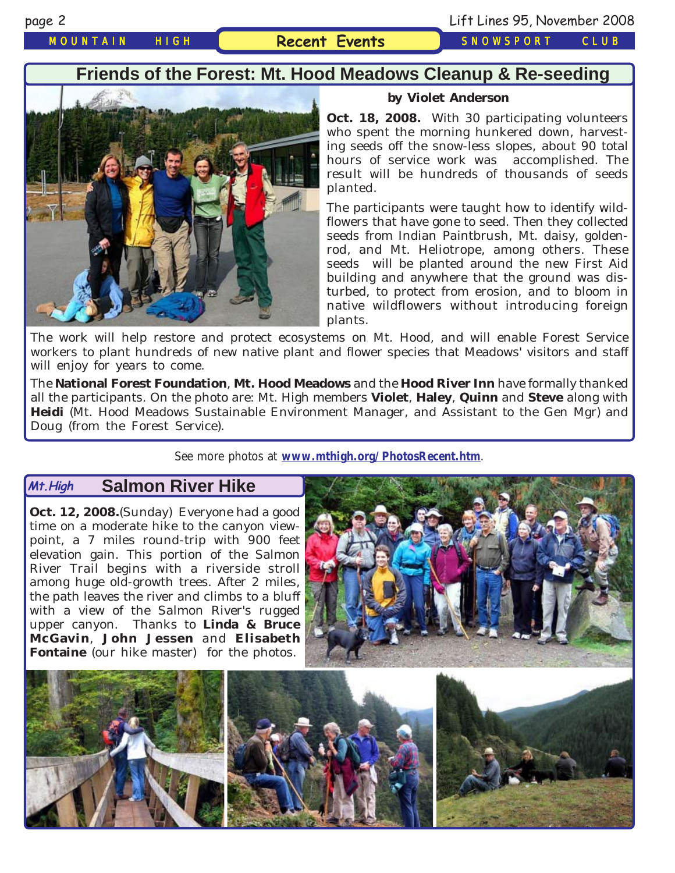*MOUNTAIN HIGH* **Recent Events** *SNOWSPORT CLUB*

# **Friends of the Forest: Mt. Hood Meadows Cleanup & Re-seeding**



### **by Violet Anderson**

**Oct. 18, 2008.** With 30 participating volunteers who spent the morning hunkered down, harvesting seeds off the snow-less slopes, about 90 total hours of service work was accomplished. The result will be hundreds of thousands of seeds planted.

The participants were taught how to identify wildflowers that have gone to seed. Then they collected seeds from Indian Paintbrush, Mt. daisy, goldenrod, and Mt. Heliotrope, among others. These seeds will be planted around the new First Aid building and anywhere that the ground was disturbed, to protect from erosion, and to bloom in native wildflowers without introducing foreign plants.

The work will help restore and protect ecosystems on Mt. Hood, and will enable Forest Service workers to plant hundreds of new native plant and flower species that Meadows' visitors and staff will enjoy for years to come.

The **National Forest Foundation**, **Mt. Hood Meadows** and the **Hood River Inn** have formally thanked all the participants. On the photo are: Mt. High members **Violet**, **Haley**, **Quinn** and **Steve** along with **Heidi** (Mt. Hood Meadows Sustainable Environment Manager, and Assistant to the Gen Mgr) and Doug (from the Forest Service).

See more photos at **[www.mthigh.org/PhotosRecent.htm](http://www.mthigh.org/PhotosRecent.htm)**.

### **Salmon River Hike Mt.High**

**Oct. 12, 2008.**(Sunday) Everyone had a good time on a moderate hike to the canyon viewpoint, a 7 miles round-trip with 900 feet elevation gain. This portion of the Salmon River Trail begins with a riverside stroll among huge old-growth trees. After 2 miles, the path leaves the river and climbs to a bluff with a view of the Salmon River's rugged upper canyon. Thanks to **Linda & Bruce McGavin**, **John Jessen** and **Elisabeth Fontaine** (our hike master) for the photos.



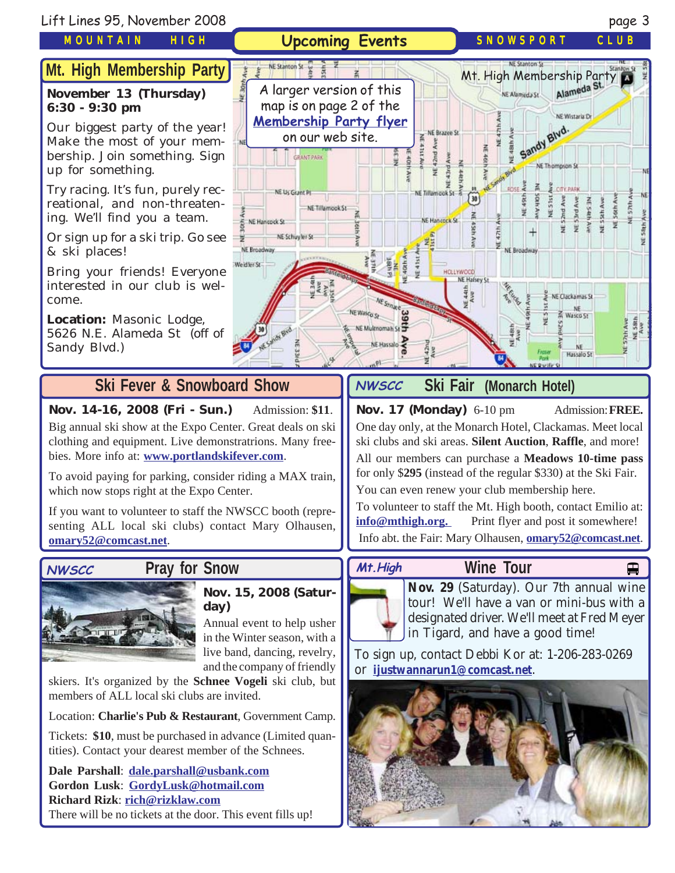

Location: **Charlie's Pub & Restaurant**, Government Camp. Tickets: **\$10**, must be purchased in advance (Limited quan-

**Gordon Lusk**: **[GordyLusk@hotmail.com](mailto:gordylusk@hotmail.com) Richard Rizk**: **[rich@rizklaw.com](mailto:rich@rizklaw.com.)**

tities). Contact your dearest member of the Schnees.

members of ALL local ski clubs are invited.

**Dale Parshall**: **[dale.parshall@usbank.com](mailto:dale.parshall@usbank.com)**

There will be no tickets at the door. This event fills up!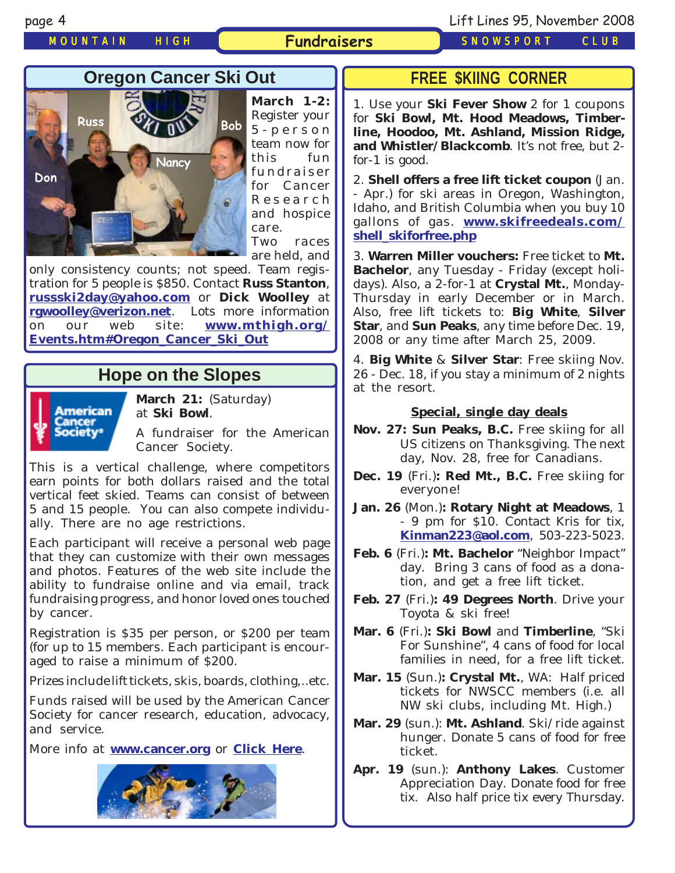*MOUNTAIN HIGH* **Fundraisers** *SNOWSPORT CLUB*

page 4 Lift Lines 95, November 2008

# **Oregon Cancer Ski Out**



**March 1-2:** Register your 5-person team now for this fun fundraiser for Cancer Research and hospice care. Two races are held, and

only consistency counts; not speed. Team registration for 5 people is \$850. Contact **Russ Stanton**, **[russski2day@yahoo.com](mailto:russski2day@yahoo.com)** or **Dick Woolley** at **[rgwoolley@verizon.net](mailto:rgwoolley@verizon.net)**. Lots more information on our web site: **[www.mthigh.org/](http://www.mthigh.org/Events.htm#Oregon_Cancer_Ski_Out) [Events.htm#Oregon\\_Cancer\\_Ski\\_Out](http://www.mthigh.org/Events.htm#Oregon_Cancer_Ski_Out)**

# **Hope on the Slopes**



**March 21:** (Saturday) at **Ski Bowl**.

A fundraiser for the American Cancer Society.

This is a vertical challenge, where competitors earn points for both dollars raised and the total vertical feet skied. Teams can consist of between 5 and 15 people. You can also compete individually. There are no age restrictions.

Each participant will receive a personal web page that they can customize with their own messages and photos. Features of the web site include the ability to fundraise online and via email, track fundraising progress, and honor loved ones touched by cancer.

Registration is \$35 per person, or \$200 per team (for up to 15 members. Each participant is encouraged to raise a minimum of \$200.

Prizes include lift tickets, skis, boards, clothing,..etc.

Funds raised will be used by the American Cancer Society for cancer research, education, advocacy, and service.

More info at **[www.cancer.org](http://www.cancer.org/)** or **[Click Here](http://www.cancer.org/docroot/COM/content/div_Northwest/COM_5_1x_Hope_on_the_Slopes.asp?sitearea=COM)**.



## **FREE \$KIING CORNER**

1. Use your **Ski Fever Show** 2 for 1 coupons for **Ski Bowl, Mt. Hood Meadows, Timberline, Hoodoo, Mt. Ashland, Mission Ridge, and Whistler/Blackcomb**. It's not free, but 2 for-1 is good.

2. **Shell offers a free lift ticket coupon** (Jan. - Apr.) for ski areas in Oregon, Washington, Idaho, and British Columbia when you buy 10 gallons of gas. **[www.skifreedeals.com/](http://www.skifreedeals.com/shell_skiforfree.php) [shell\\_skiforfree.php](http://www.skifreedeals.com/shell_skiforfree.php)**

3. **Warren Miller vouchers:** Free ticket to **Mt. Bachelor**, any Tuesday - Friday (except holidays). Also, a 2-for-1 at **Crystal Mt.**, Monday-Thursday in early December or in March. Also, free lift tickets to: **Big White**, **Silver Star**, and **Sun Peaks**, any time before Dec. 19, 2008 or any time after March 25, 2009.

4. **Big White** & **Silver Star**: Free skiing Nov. 26 - Dec. 18, if you stay a minimum of 2 nights at the resort.

### **Special, single day deals**

- **Nov. 27: Sun Peaks, B.C.** Free skiing for all US citizens on Thanksgiving. The next day, Nov. 28, free for Canadians.
- **Dec. 19** (Fri.)**: Red Mt., B.C.** Free skiing for everyone!
- **Jan. 26** (Mon.)**: Rotary Night at Meadows**, 1 - 9 pm for \$10. Contact Kris for tix, **[Kinman223@aol.com](mailto:Kinman223@aol.com)**, 503-223-5023.
- **Feb. 6** (Fri.)**: Mt. Bachelor** "Neighbor Impact" day. Bring 3 cans of food as a donation, and get a free lift ticket.
- **Feb. 27** (Fri.)**: 49 Degrees North**. Drive your Toyota & ski free!
- **Mar. 6** (Fri.)**: Ski Bowl** and **Timberline**, "Ski For Sunshine", 4 cans of food for local families in need, for a free lift ticket.
- **Mar. 15** (Sun.)**: Crystal Mt.**, WA: Half priced tickets for NWSCC members (i.e. all NW ski clubs, including Mt. High.)
- **Mar. 29** (sun.): **Mt. Ashland**. Ski/ride against hunger. Donate 5 cans of food for free ticket.

**Apr. 19** (sun.): **Anthony Lakes**. Customer Appreciation Day. Donate food for free tix. Also half price tix every Thursday.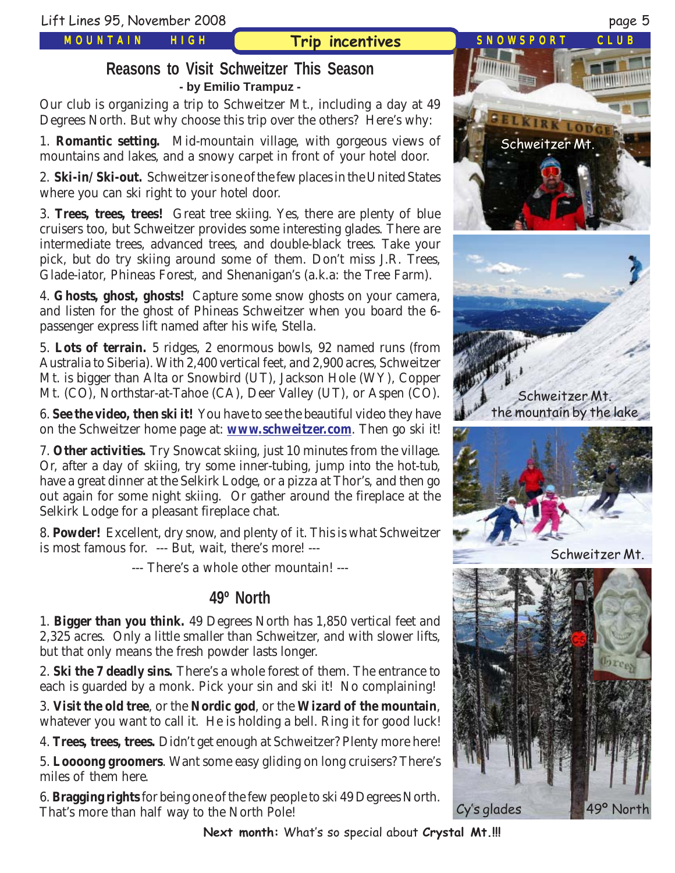*MOUNTAIN HIGH*

# **Trip incentives** *SNOWSPORT CLUB*

# **Reasons to Visit Schweitzer This Season - by Emilio Trampuz -**

Our club is organizing a trip to Schweitzer Mt., including a day at 49 Degrees North. But why choose this trip over the others? Here's why:

1. **Romantic setting.** Mid-mountain village, with gorgeous views of mountains and lakes, and a snowy carpet in front of your hotel door.

2. **Ski-in/Ski-out.** Schweitzer is one of the few places in the United States where you can ski right to your hotel door.

3. **Trees, trees, trees!** Great tree skiing. Yes, there are plenty of blue cruisers too, but Schweitzer provides some interesting glades. There are intermediate trees, advanced trees, and double-black trees. Take your pick, but do try skiing around some of them. Don't miss J.R. Trees, Glade-iator, Phineas Forest, and Shenanigan's (a.k.a: the Tree Farm).

4. **Ghosts, ghost, ghosts!** Capture some snow ghosts on your camera, and listen for the ghost of Phineas Schweitzer when you board the 6 passenger express lift named after his wife, Stella.

5. **Lots of terrain.** 5 ridges, 2 enormous bowls, 92 named runs (from Australia to Siberia). With 2,400 vertical feet, and 2,900 acres, Schweitzer Mt. is bigger than Alta or Snowbird (UT), Jackson Hole (WY), Copper Mt. (CO), Northstar-at-Tahoe (CA), Deer Valley (UT), or Aspen (CO).

6. **See the video, then ski it!** You have to see the beautiful video they have on the Schweitzer home page at: **[www.schweitzer.com](http://www.schweitzer.com/)**. Then go ski it!

7. **Other activities.** Try Snowcat skiing, just 10 minutes from the village. Or, after a day of skiing, try some inner-tubing, jump into the hot-tub, have a great dinner at the Selkirk Lodge, or a pizza at Thor's, and then go out again for some night skiing. Or gather around the fireplace at the Selkirk Lodge for a pleasant fireplace chat.

8. **Powder!** Excellent, dry snow, and plenty of it. This is what Schweitzer is most famous for. --- But, wait, there's more! ---

--- There's a whole other mountain! ---

# **49º North**

1. **Bigger than you think.** 49 Degrees North has 1,850 vertical feet and 2,325 acres. Only a little smaller than Schweitzer, and with slower lifts, but that only means the fresh powder lasts longer.

2. **Ski the 7 deadly sins.** There's a whole forest of them. The entrance to each is guarded by a monk. Pick your sin and ski it! No complaining!

3. **Visit the old tree**, or the **Nordic god**, or the **Wizard of the mountain**, whatever you want to call it. He is holding a bell. Ring it for good luck!

4. **Trees, trees, trees.** Didn't get enough at Schweitzer? Plenty more here!

5. **Loooong groomers**. Want some easy gliding on long cruisers? There's miles of them here.

6. **Bragging rights** for being one of the few people to ski 49 Degrees North. That's more than half way to the North Pole!

**Next month:** What's so special about **Crystal Mt.!!!**



Schweitzer Mt.

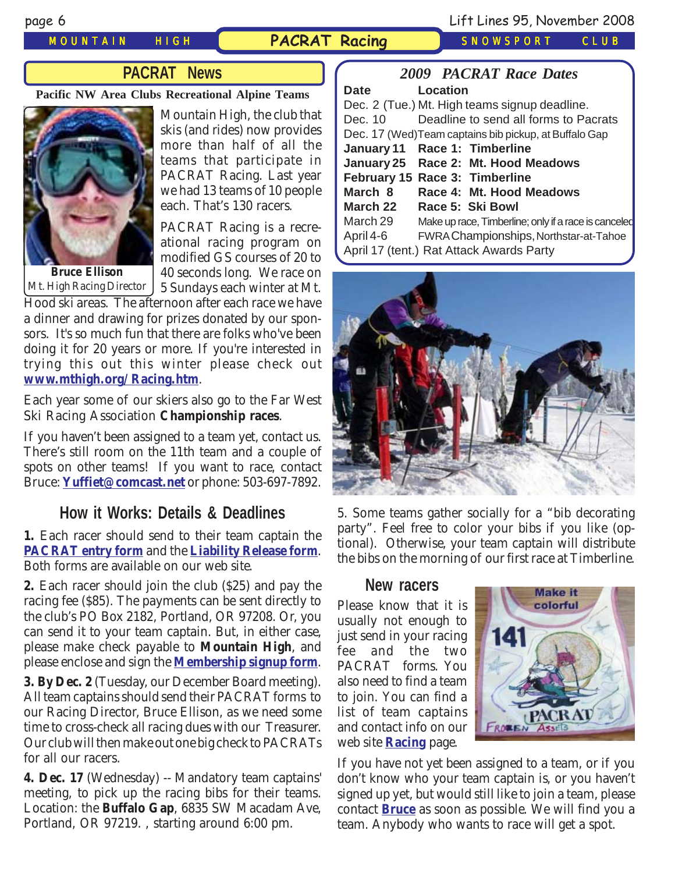# *MOUNTAIN HIGH* **PACRAT Racing** *SNOWSPORT CLUB*

*2009 PACRAT Race Dates*

# **PACRAT News**

**Pacific NW Area Clubs Recreational Alpine Teams**



Mountain High, the club that skis (and rides) now provides more than half of all the teams that participate in PACRAT Racing. Last year we had 13 teams of 10 people each. That's 130 racers.

PACRAT Racing is a recreational racing program on modified GS courses of 20 to 40 seconds long. We race on 5 Sundays each winter at Mt.

Hood ski areas. The afternoon after each race we have a dinner and drawing for prizes donated by our sponsors. It's so much fun that there are folks who've been doing it for 20 years or more. If you're interested in trying this out this winter please check out **[www.mthigh.org/Racing.htm](http://www.mthigh.org/Racing.htm)**. Mt. High Racing Director

Each year some of our skiers also go to the Far West Ski Racing Association **Championship races**.

If you haven't been assigned to a team yet, contact us. There's still room on the 11th team and a couple of spots on other teams! If you want to race, contact Bruce: **[Yuffiet@comcast.net](mailto:Yuffiet@comcast.net)** or phone: 503-697-7892.

# **How it Works: Details & Deadlines**

**1.** Each racer should send to their team captain the **[PACRAT entry form](http://www.mthigh.org/Racing/PACRAT-Entry-Form.pdf)** and the **[Liability Release form](http://www.mthigh.org/Racing/PACRAT-Release.pdf)**. Both forms are available on our web site.

**2.** Each racer should join the club (\$25) and pay the racing fee (\$85). The payments can be sent directly to the club's PO Box 2182, Portland, OR 97208. Or, you can send it to your team captain. But, in either case, please make check payable to **Mountain High**, and please enclose and sign the **[Membership signup form](http://www.mthigh.org/Documents/MembershipSignupForm.pdf)**.

**3. By Dec. 2** (Tuesday, our December Board meeting). All team captains should send their PACRAT forms to our Racing Director, Bruce Ellison, as we need some time to cross-check all racing dues with our Treasurer. Our club will then make out one big check to PACRATs for all our racers.

**4. Dec. 17** (Wednesday) -- Mandatory team captains' meeting, to pick up the racing bibs for their teams. Location: the **Buffalo Gap**, 6835 SW Macadam Ave, Portland, OR 97219. , starting around 6:00 pm.

| <b>Date</b>                              | Location                                               |  |  |  |
|------------------------------------------|--------------------------------------------------------|--|--|--|
|                                          | Dec. 2 (Tue.) Mt. High teams signup deadline.          |  |  |  |
| Dec. 10                                  | Deadline to send all forms to Pacrats                  |  |  |  |
|                                          | Dec. 17 (Wed) Team captains bib pickup, at Buffalo Gap |  |  |  |
|                                          | January 11 Race 1: Timberline                          |  |  |  |
|                                          | January 25 Race 2: Mt. Hood Meadows                    |  |  |  |
|                                          | February 15 Race 3: Timberline                         |  |  |  |
| March 8                                  | Race 4: Mt. Hood Meadows                               |  |  |  |
| March 22                                 | Race 5: Ski Bowl                                       |  |  |  |
| March 29                                 | Make up race, Timberline; only if a race is canceled   |  |  |  |
| April 4-6                                | FWRA Championships, Northstar-at-Tahoe                 |  |  |  |
| April 17 (tent.) Rat Attack Awards Party |                                                        |  |  |  |



5. Some teams gather socially for a "bib decorating party". Feel free to color your bibs if you like (optional). Otherwise, your team captain will distribute the bibs on the morning of our first race at Timberline.

### **New racers**

Please know that it is usually not enough to just send in your racing fee and the two PACRAT forms. You also need to find a team to join. You can find a list of team captains and contact info on our web site **[Racing](http://www.mthigh.org/Racing.htm)** page.



If you have not yet been assigned to a team, or if you don't know who your team captain is, or you haven't signed up yet, but would still like to join a team, please contact **[Bruce](mailto:Yuffiet@comcast.net)** as soon as possible. We will find you a team. Anybody who wants to race will get a spot.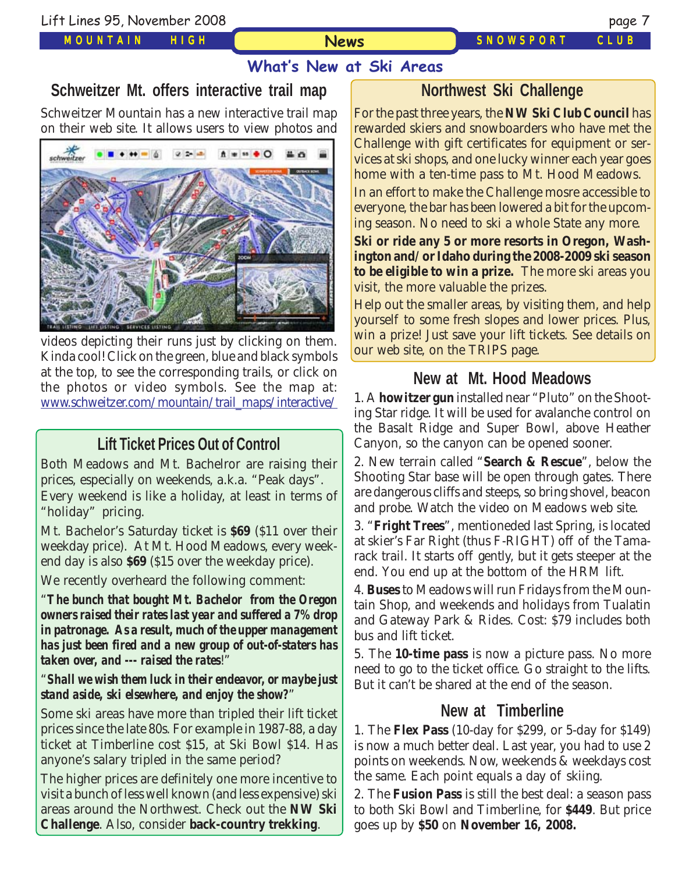*MOUNTAIN HIGH*

**News**

*SNOWSPORT CLUB*

# **What's New at Ski Areas**

# **Schweitzer Mt. offers interactive trail map**

Schweitzer Mountain has a new interactive trail map on their web site. It allows users to view photos and



videos depicting their runs just by clicking on them. Kinda cool! Click on the green, blue and black symbols at the top, to see the corresponding trails, or click on the photos or video symbols. See the map at: [www.schweitzer.com/mountain/trail\\_maps/interactive/](http://www.schweitzer.com/mountain/trail_maps/interactive/)

# **Lift Ticket Prices Out of Control**

Both Meadows and Mt. Bachelror are raising their prices, especially on weekends, a.k.a. "Peak days". Every weekend is like a holiday, at least in terms of "holiday" pricing.

Mt. Bachelor's Saturday ticket is **\$69** (\$11 over their weekday price). At Mt. Hood Meadows, every weekend day is also **\$69** (\$15 over the weekday price).

We recently overheard the following comment:

"*The bunch that bought Mt. Bachelor from the Oregon owners raised their rates last year and suffered a 7% drop in patronage. As a result, much of the upper management has just been fired and a new group of out-of-staters has taken over, and --- raised the rates*!"

### "*Shall we wish them luck in their endeavor, or maybe just stand aside, ski elsewhere, and enjoy the show?*"

Some ski areas have more than tripled their lift ticket prices since the late 80s. For example in 1987-88, a day ticket at Timberline cost \$15, at Ski Bowl \$14. Has anyone's salary tripled in the same period?

The higher prices are definitely one more incentive to visit a bunch of less well known (and less expensive) ski areas around the Northwest. Check out the **NW Ski Challenge**. Also, consider **back-country trekking**.

# **Northwest Ski Challenge**

For the past three years, the **NW Ski Club Council** has rewarded skiers and snowboarders who have met the Challenge with gift certificates for equipment or services at ski shops, and one lucky winner each year goes home with a ten-time pass to Mt. Hood Meadows.

In an effort to make the Challenge mosre accessible to everyone, the bar has been lowered a bit for the upcoming season. No need to ski a whole State any more.

**Ski or ride any 5 or more resorts in Oregon, Washington and/or Idaho during the 2008-2009 ski season to be eligible to win a prize.** The more ski areas you visit, the more valuable the prizes.

Help out the smaller areas, by visiting them, and help yourself to some fresh slopes and lower prices. Plus, win a prize! Just save your lift tickets. See details on our web site, on the TRIPS page.

# **New at Mt. Hood Meadows**

1. A **howitzer gun** installed near "Pluto" on the Shooting Star ridge. It will be used for avalanche control on the Basalt Ridge and Super Bowl, above Heather Canyon, so the canyon can be opened sooner.

2. New terrain called "**Search & Rescue**", below the Shooting Star base will be open through gates. There are dangerous cliffs and steeps, so bring shovel, beacon and probe. Watch the video on Meadows web site.

3. "**Fright Trees**", mentioneded last Spring, is located at skier's Far Right (thus F-RIGHT) off of the Tamarack trail. It starts off gently, but it gets steeper at the end. You end up at the bottom of the HRM lift.

4. **Buses** to Meadows will run Fridays from the Mountain Shop, and weekends and holidays from Tualatin and Gateway Park & Rides. Cost: \$79 includes both bus and lift ticket.

5. The **10-time pass** is now a picture pass. No more need to go to the ticket office. Go straight to the lifts. But it can't be shared at the end of the season.

# **New at Timberline**

1. The **Flex Pass** (10-day for \$299, or 5-day for \$149) is now a much better deal. Last year, you had to use 2 points on weekends. Now, weekends & weekdays cost the same. Each point equals a day of skiing.

2. The **Fusion Pass** is still the best deal: a season pass to both Ski Bowl and Timberline, for **\$449**. But price goes up by **\$50** on **November 16, 2008.**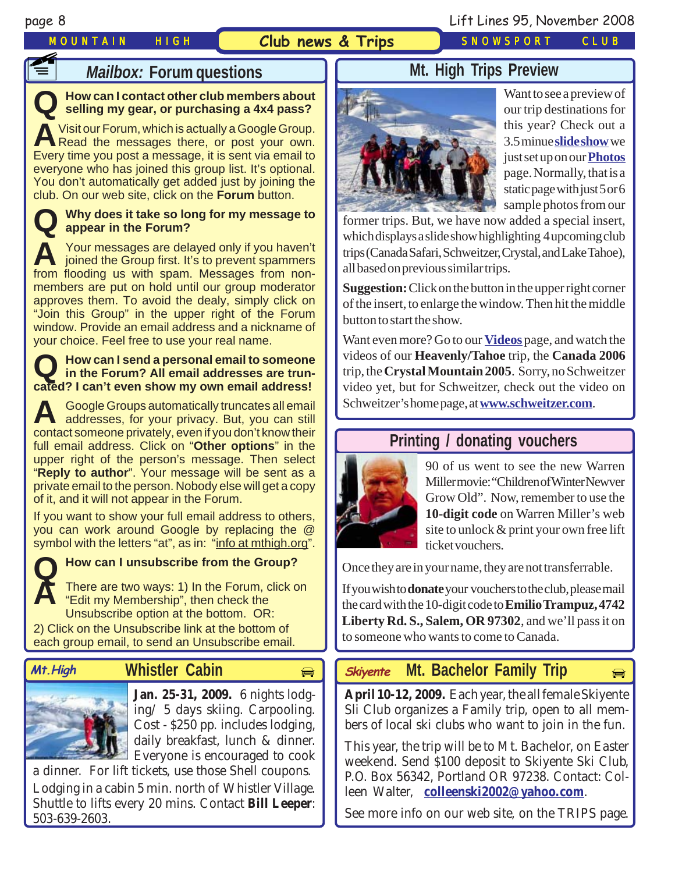# **F1**

## *MOUNTAIN HIGH* **Club news & Trips** *SNOWSPORT CLUB*

page 8 Lift Lines 95, November 2008

# **Mailbox: Forum questions**

# **Q How can I contact other club members about selling my gear, or purchasing a 4x4 pass?**

**A** Visit our Forum, which is actually a Google Group.<br>Read the messages there, or post your own. Every time you post a message, it is sent via email to everyone who has joined this group list. It's optional. You don't automatically get added just by joining the club. On our web site, click on the **Forum** button.

### **Q Why does it take so long for my message to appear in the Forum?**

**A** Your messages are delayed only if you haven't joined the Group first. It's to prevent spammers from flooding us with spam. Messages from nonmembers are put on hold until our group moderator approves them. To avoid the dealy, simply click on "Join this Group" in the upper right of the Forum window. Provide an email address and a nickname of your choice. Feel free to use your real name.

# **Q How can I send a personal email to someone in the Forum? All email addresses are truncated? I can't even show my own email address!**

**A** Google Groups automatically truncates all email addresses, for your privacy. But, you can still contact someone privately, even if you don't know their full email address. Click on "**Other options**" in the upper right of the person's message. Then select "**Reply to author**". Your message will be sent as a private email to the person. Nobody else will get a copy of it, and it will not appear in the Forum.

If you want to show your full email address to others, you can work around Google by replacing the @ symbol with the letters "at", as in: "info at mthigh.org".



# **How can I unsubscribe from the Group?**<br>There are two ways: 1) In the Forum, click on

**A** There are two ways: 1) In the Forum, click on "Edit my Membership", then check the Unsubscribe option at the bottom. OR:

2) Click on the Unsubscribe link at the bottom of each group email, to send an Unsubscribe email.

# **Whistler Cabin Skiyente**



**Jan. 25-31, 2009.** 6 nights lodging/ 5 days skiing. Carpooling. Cost - \$250 pp. includes lodging, daily breakfast, lunch & dinner. Everyone is encouraged to cook

a dinner. For lift tickets, use those Shell coupons. Lodging in a cabin 5 min. north of Whistler Village. Shuttle to lifts every 20 mins. Contact **Bill Leeper**: 503-639-2603.

# **Mt. High Trips Preview**



Want to see a preview of our trip destinations for this year? Check out a 3.5 minue **[slide show](http://www.mthigh.org/Photos.htm)** we just set up on our **[Photos](http://www.mthigh.org/Photos.htm)** page. Normally, that is a static page with just 5 or 6 sample photos from our

former trips. But, we have now added a special insert, which displays a slide show highlighting 4 upcoming club trips (Canada Safari, Schweitzer, Crystal, and Lake Tahoe), all based on previous similar trips.

**Suggestion:** Click on the button in the upper right corner of the insert, to enlarge the window. Then hit the middle button to start the show.

Want even more? Go to our **[Videos](http://www.mthigh.org/Videos.htm)** page, and watch the videos of our **Heavenly/Tahoe** trip, the **Canada 2006** trip, the **Crystal Mountain 2005**. Sorry, no Schweitzer video yet, but for Schweitzer, check out the video on Schweitzer's home page, at **[www.schweitzer.com](http://www.schweitzer.com/)**.

# **Printing / donating vouchers**



90 of us went to see the new Warren Miller movie: "Children of Winter Newver Grow Old". Now, remember to use the **10-digit code** on Warren Miller's web site to unlock & print your own free lift ticket vouchers.

Once they are in your name, they are not transferrable.

If you wish to **donate** your vouchers to the club, please mail the card with the 10-digit code to **Emilio Trampuz, 4742 Liberty Rd. S., Salem, OR 97302**, and we'll pass it on to someone who wants to come to Canada.

# **Mt. High Whistler Cabin (***Skiyente* **Mt. Bachelor Family Trip**

**April 10-12, 2009.** Each year, the all female Skiyente Sli Club organizes a Family trip, open to all members of local ski clubs who want to join in the fun.

This year, the trip will be to Mt. Bachelor, on Easter weekend. Send \$100 deposit to Skiyente Ski Club, P.O. Box 56342, Portland OR 97238. Contact: Colleen Walter, **[colleenski2002@yahoo.com](mailto:colleenski2002@yahoo.com)**.

See more info on our web site, on the TRIPS page.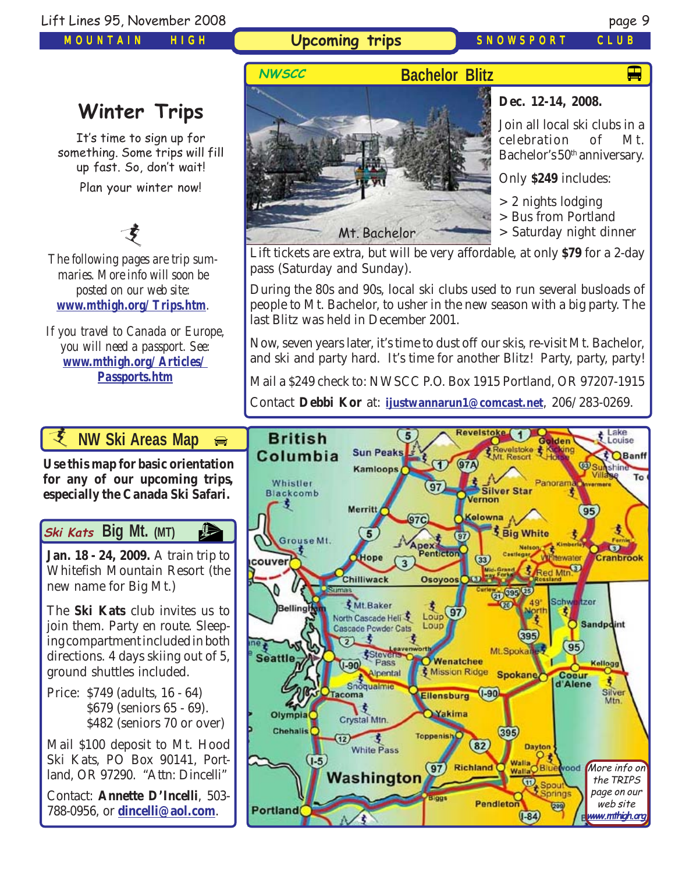*MOUNTAIN HIGH*

**Upcoming trips** *SNOWSPORT CLUB*

Mt. Bachelor

 $\mathbf{F}$ 

# **Winter Trips**

It's time to sign up for something. Some trips will fill up fast. So, don't wait! Plan your winter now!

支

*The following pages are trip summaries. More info will soon be posted on our web site: [www.mthigh.org/Trips.htm](http://www.mthigh.org/Trips.htm).*

*If you travel to Canada or Europe, you will need a passport. See: [www.mthigh.org/Articles/](http://www.mthigh.org/Articles/Passports.htm) [Passports.htm](http://www.mthigh.org/Articles/Passports.htm)*

**NWSCC**



# **Dec. 12-14, 2008.**

Join all local ski clubs in a celebration of Mt. Bachelor's 50<sup>th</sup> anniversary.

Only **\$249** includes:

> 2 nights lodging

> Bus from Portland

> Saturday night dinner

Lift tickets are extra, but will be very affordable, at only **\$79** for a 2-day pass (Saturday and Sunday).

During the 80s and 90s, local ski clubs used to run several busloads of people to Mt. Bachelor, to usher in the new season with a big party. The last Blitz was held in December 2001.

Now, seven years later, it's time to dust off our skis, re-visit Mt. Bachelor, and ski and party hard. It's time for another Blitz! Party, party, party!

Mail a \$249 check to: NWSCC P.O. Box 1915 Portland, OR 97207-1915

Contact **Debbi Kor** at: **[ijustwannarun1@comcast.net](mailto:Ijustwannarun1@comcast.net)**, 206/283-0269.



**Jan. 18 - 24, 2009.** A train trip to Whitefish Mountain Resort (the new name for Big Mt.)

The **Ski Kats** club invites us to join them. Party en route. Sleeping compartment included in both directions. 4 days skiing out of 5, ground shuttles included.

Price: \$749 (adults, 16 - 64) \$679 (seniors 65 - 69). \$482 (seniors 70 or over)

Mail \$100 deposit to Mt. Hood Ski Kats, PO Box 90141, Portland, OR 97290. "Attn: Dincelli"

Contact: **Annette D'Incelli**, 503- 788-0956, or **[dincelli@aol.com](mailto:dincelli@aol.com)**.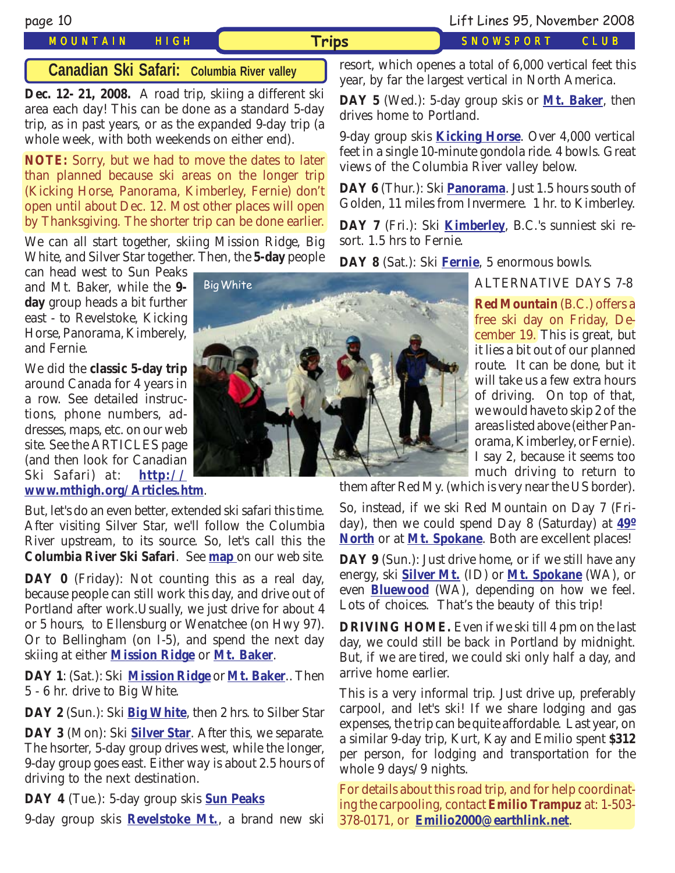# *MOUNTAIN HIGH* **Trips** *SNOWSPORT CLUB*

# **Canadian Ski Safari: Columbia River valley**

**Dec. 12- 21, 2008.** A road trip, skiing a different ski area each day! This can be done as a standard 5-day trip, as in past years, or as the expanded 9-day trip (a whole week, with both weekends on either end).

**NOTE:** Sorry, but we had to move the dates to later than planned because ski areas on the longer trip (Kicking Horse, Panorama, Kimberley, Fernie) don't open until about Dec. 12. Most other places will open by Thanksgiving. The shorter trip can be done earlier.

We can all start together, skiing Mission Ridge, Big White, and Silver Star together. Then, the **5-day** people

can head west to Sun Peaks and Mt. Baker, while the **9 day** group heads a bit further east - to Revelstoke, Kicking Horse, Panorama, Kimberely, and Fernie.

We did the **classic 5-day trip** around Canada for 4 years in a row. See detailed instructions, phone numbers, addresses, maps, etc. on our web site. See the ARTICLES page (and then look for Canadian Ski Safari) at: **[http://](http://www.mthigh.org/Articles.htm) [www.mthigh.org/Articles.htm](http://www.mthigh.org/Articles.htm)**.

But, let's do an even better, extended ski safari this time. After visiting Silver Star, we'll follow the Columbia River upstream, to its source. So, let's call this the **Columbia River Ski Safari**. See **[map](http://www.mthigh.org/Trips/Map-NW-Ski-Safaris-w.jpg)** on our web site.

**DAY 0** (Friday): Not counting this as a real day, because people can still work this day, and drive out of Portland after work.Usually, we just drive for about 4 or 5 hours, to Ellensburg or Wenatchee (on Hwy 97). Or to Bellingham (on I-5), and spend the next day skiing at either **[Mission Ridge](http://www.missionridge.com/)** or **[Mt. Baker](http://www.mtbaker.us/)**.

**DAY 1**: (Sat.): Ski **[Mission Ridge](http://www.missionridge.com/)** or **[Mt. Baker](http://www.mtbaker.us/)**.. Then 5 - 6 hr. drive to Big White.

**DAY 2** (Sun.): Ski **[Big White](http://www.bigwhite.com/)**, then 2 hrs. to Silber Star

**DAY 3** (Mon): Ski **[Silver Star](http://www.skisilverstar.com/)**. After this, we separate. The hsorter, 5-day group drives west, while the longer, 9-day group goes east. Either way is about 2.5 hours of driving to the next destination.

**DAY 4** (Tue.): 5-day group skis **[Sun Peaks](http://www.sunpeaksresort.com/)**

9-day group skis **[Revelstoke Mt.](http://www.discoverrevelstoke.com/)**, a brand new ski



resort, which openes a total of 6,000 vertical feet this year, by far the largest vertical in North America.

**DAY 5** (Wed.): 5-day group skis or **[Mt. Baker](http://www.mtbaker.us/)**, then drives home to Portland.

9-day group skis **[Kicking Horse](http://www.kickinghorseresort.com/winter/)**. Over 4,000 vertical feet in a single 10-minute gondola ride. 4 bowls. Great views of the Columbia River valley below.

**DAY 6** (Thur.): Ski **[Panorama](http://www.panoramaresort.com/index.htm)**. Just 1.5 hours south of Golden, 11 miles from Invermere. 1 hr. to Kimberley.

**DAY 7** (Fri.): Ski **[Kimberley](http://www.skikimberley.com/)**, B.C.'s sunniest ski resort. 1.5 hrs to Fernie.

**DAY 8** (Sat.): Ski **[Fernie](http://www.skifernie.com/the-mountain.aspx)**, 5 enormous bowls.

ALTERNATIVE DAYS 7-8

cember 19. This is great, but it lies a bit out of our planned **Red Mountain** (B.C.) offers a free ski day on Friday, Deroute. It can be done, but it will take us a few extra hours of driving. On top of that, we would have to skip 2 of the areas listed above (either Panorama, Kimberley, or Fernie). I say 2, because it seems too much driving to return to

them after Red My. (which is very near the US border).

So, instead, if we ski Red Mountain on Day 7 (Friday), then we could spend Day 8 (Saturday) at **[49º](http://www.ski49n.com/) [North](http://www.ski49n.com/)** or at **[Mt. Spokane](http://www.mtspokane.com/)**. Both are excellent places!

**DAY 9** (Sun.): Just drive home, or if we still have any energy, ski **[Silver Mt.](http://www.silvermt.com/)** (ID) or **[Mt. Spokane](http://www.mtspokane.com/)** (WA), or even **[Bluewood](http://www.bluewood.com/)** (WA), depending on how we feel. Lots of choices. That's the beauty of this trip!

**DRIVING HOME.** Even if we ski till 4 pm on the last day, we could still be back in Portland by midnight. But, if we are tired, we could ski only half a day, and arrive home earlier.

This is a very informal trip. Just drive up, preferably carpool, and let's ski! If we share lodging and gas expenses, the trip can be quite affordable. Last year, on a similar 9-day trip, Kurt, Kay and Emilio spent **\$312** per person, for lodging and transportation for the whole 9 days/9 nights.

For details about this road trip, and for help coordinating the carpooling, contact **Emilio Trampuz** at: 1-503- 378-0171, or **[Emilio2000@earthlink.net](mailto:Emilio2000@earthlink.net)**.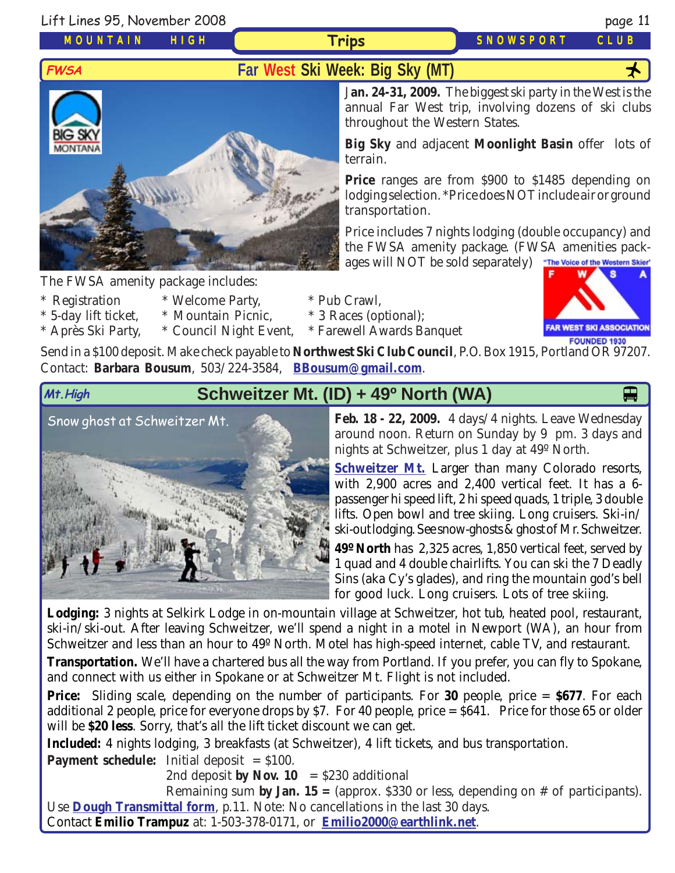Lift Lines 95, November 2008 page 11

*MOUNTAIN HIGH*

**Trips** *SNOWSPORT CLUB*



The FWSA amenity package includes:

- 
- \* Registration \* Welcome Party, \* Pub Crawl,
- \* 5-day lift ticket, \* Mountain Picnic, \* 3 Races (optional);
- \* Après Ski Party, \* Council Night Event, \* Farewell Awards Banquet

J**an. 24-31, 2009.** The biggest ski party in the West is the annual Far West trip, involving dozens of ski clubs throughout the Western States.

**Big Sky** and adjacent **Moonlight Basin** offer lots of terrain.

**Price** ranges are from \$900 to \$1485 depending on lodging selection. \*Price does NOT include air or ground transportation.

Price includes 7 nights lodging (double occupancy) and the FWSA amenity package. (FWSA amenities packages will NOT be sold separately) The Voice of the Western Skier'

**FAR WEST SKI ASSOCIATION** FOUNDED 1930

Send in a \$100 deposit. Make check payable to **Northwest Ski Club Council**, P.O. Box 1915, Portland OR 97207. Contact: **Barbara Bousum**, 503/224-3584, **[BBousum@gmail.com](mailto:BBousum@gmail.com)**.

# **Mt.High Schweitzer Mt. (ID) + 49<sup>o</sup> North (WA)**

[Snow ghost at Schweitzer Mt.](http://www.schweitzer.com/)



**Feb. 18 - 22, 2009.** 4 days/4 nights. Leave Wednesday around noon. Return on Sunday by 9 pm. 3 days and nights at Schweitzer, plus 1 day at 49º North.

**[Schweitzer Mt.](http://www.schweitzer.com/)** Larger than many Colorado resorts, with 2,900 acres and 2,400 vertical feet. It has a 6 passenger hi speed lift, 2 hi speed quads, 1 triple, 3 double lifts. Open bowl and tree skiing. Long cruisers. Ski-in/ ski-out lodging. See snow-ghosts & ghost of Mr. Schweitzer.

**49º North** has 2,325 acres, 1,850 vertical feet, served by 1 quad and 4 double chairlifts. You can ski the 7 Deadly Sins (aka Cy's glades), and ring the mountain god's bell for good luck. Long cruisers. Lots of tree skiing.

**Lodging:** 3 nights at Selkirk Lodge in on-mountain village at Schweitzer, hot tub, heated pool, restaurant, ski-in/ski-out. After leaving Schweitzer, we'll spend a night in a motel in Newport (WA), an hour from Schweitzer and less than an hour to 49º North. Motel has high-speed internet, cable TV, and restaurant.

**Transportation.** We'll have a chartered bus all the way from Portland. If you prefer, you can fly to Spokane, and connect with us either in Spokane or at Schweitzer Mt. Flight is not included.

**Price:** Sliding scale, depending on the number of participants. For **30** people, price = **\$677**. For each additional 2 people, price for everyone drops by \$7. For 40 people, price = \$641. Price for those 65 or older will be **\$20 less**. Sorry, that's all the lift ticket discount we can get.

**Included:** 4 nights lodging, 3 breakfasts (at Schweitzer), 4 lift tickets, and bus transportation.

**Payment schedule:** Initial deposit = \$100.

2nd deposit **by Nov. 10** =  $$230$  additional

Remaining sum **by Jan. 15 =** (approx. \$330 or less, depending on # of participants). Use **[Dough Transmittal form](http://www.mthigh.org/Documents/DOUGH%20TRANSMITTAL%20FORM.pdf)**, p.11. Note: No cancellations in the last 30 days.

Contact **Emilio Trampuz** at: 1-503-378-0171, or **[Emilio2000@earthlink.net](mailto:Emilio2000@earthlink.net)**.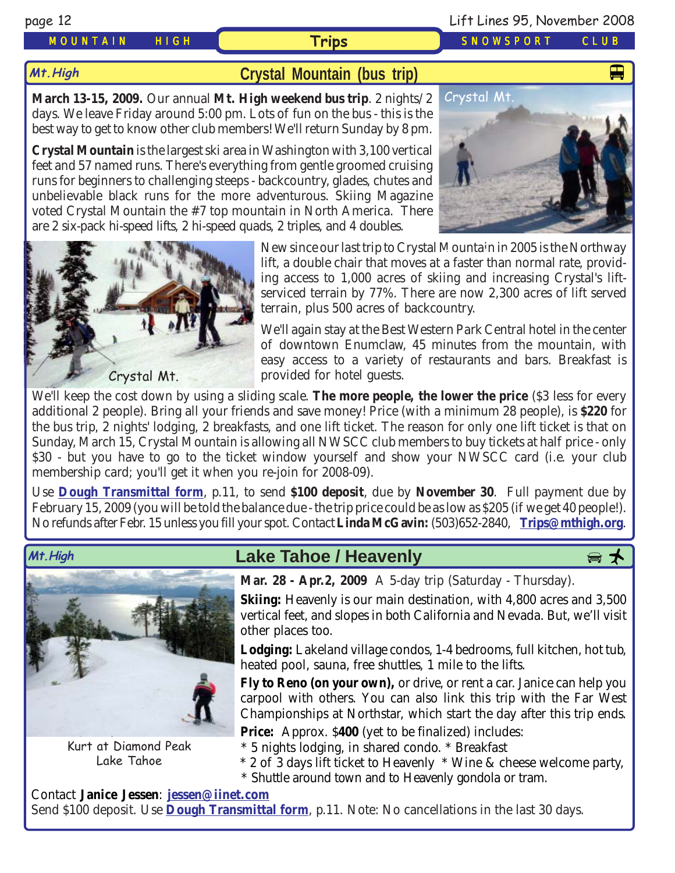**Mt.High**

# *MOUNTAIN HIGH* **Trips** *SNOWSPORT CLUB*

# **[Crystal Mountain \(bus trip\)](http://www.crystalmt.com/)**

**March 13-15, 2009.** Our annual **Mt. High weekend bus trip**. 2 nights/2 days. We leave Friday around 5:00 pm. Lots of fun on the bus - this is the best way to get to know other club members! We'll return Sunday by 8 pm.

**Crystal Mountain** is the largest ski area in Washington with 3,100 vertical feet and 57 named runs. There's everything from gentle groomed cruising runs for beginners to challenging steeps - backcountry, glades, chutes and unbelievable black runs for the more adventurous. Skiing Magazine voted Crystal Mountain the #7 top mountain in North America. There are 2 six-pack hi-speed lifts, 2 hi-speed quads, 2 triples, and 4 doubles.



We'll again stay at the Best Western Park Central hotel in the center of downtown Enumclaw, 45 minutes from the mountain, with easy access to a variety of restaurants and bars. Breakfast is provided for hotel guests.

We'll keep the cost down by using a sliding scale. **The more people, the lower the price** (\$3 less for every additional 2 people). Bring all your friends and save money! Price (with a minimum 28 people), is **\$220** for the bus trip, 2 nights' lodging, 2 breakfasts, and one lift ticket. The reason for only one lift ticket is that on Sunday, March 15, Crystal Mountain is allowing all NWSCC club members to buy tickets at half price - only \$30 - but you have to go to the ticket window yourself and show your NWSCC card (i.e. your club membership card; you'll get it when you re-join for 2008-09).

Use **[Dough Transmittal form](http://www.mthigh.org/Documents/DOUGH%20TRANSMITTAL%20FORM.pdf)**, p.11, to send **\$100 deposit**, due by **November 30**. Full payment due by February 15, 2009 (you will be told the balance due - the trip price could be as low as \$205 (if we get 40 people!). No refunds after Febr. 15 unless you fill your spot. Contact **Linda McGavin:** (503)652-2840, **[Trips@mthigh.org](mailto:Trips@mthigh.org)**.



Kurt at Diamond Peak Lake Tahoe

# Mt.High **Download Cake Tahoe / Heavenly**



**Mar. 28 - Apr.2, 2009** A 5-day trip (Saturday - Thursday).

**Skiing:** Heavenly is our main destination, with 4,800 acres and 3,500 vertical feet, and slopes in both California and Nevada. But, we'll visit other places too.

**Lodging:** Lakeland village condos, 1-4 bedrooms, full kitchen, hot tub, heated pool, sauna, free shuttles, 1 mile to the lifts.

**Fly to Reno (on your own),** or drive, or rent a car. Janice can help you carpool with others. You can also link this trip with the Far West Championships at Northstar, which start the day after this trip ends.

**Price:** Approx. \$400 (yet to be finalized) includes:

\* 5 nights lodging, in shared condo. \* Breakfast

\* 2 of 3 days lift ticket to Heavenly \* Wine & cheese welcome party,

\* Shuttle around town and to Heavenly gondola or tram.

Contact **Janice Jessen**: **[jessen@iinet.com](mailto:jessen@iinet.com)** Send \$100 deposit. Use **[Dough Transmittal form](http://www.mthigh.org/Documents/DOUGH%20TRANSMITTAL%20FORM.pdf)**, p.11. Note: No cancellations in the last 30 days.



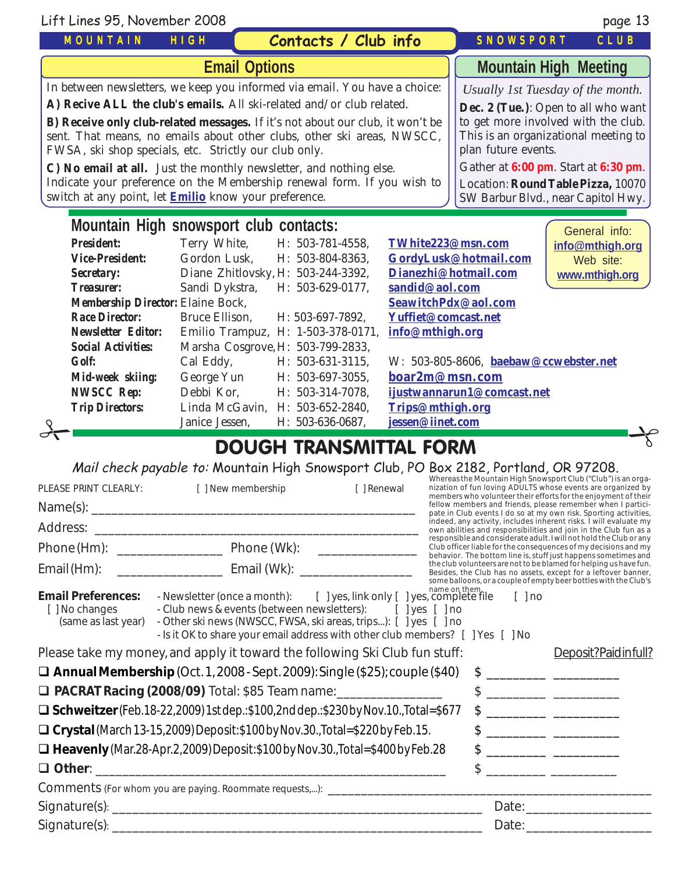| Lift Lines 95, November 2008                                                                                                                                                                                                                                                                                                                                                                                                                                                                                                                                                              |                       |                                    |                      |                                       | page 13                                                                                                                                                                                                                                                                     |  |  |
|-------------------------------------------------------------------------------------------------------------------------------------------------------------------------------------------------------------------------------------------------------------------------------------------------------------------------------------------------------------------------------------------------------------------------------------------------------------------------------------------------------------------------------------------------------------------------------------------|-----------------------|------------------------------------|----------------------|---------------------------------------|-----------------------------------------------------------------------------------------------------------------------------------------------------------------------------------------------------------------------------------------------------------------------------|--|--|
| <b>MOUNTAIN</b>                                                                                                                                                                                                                                                                                                                                                                                                                                                                                                                                                                           | HIGH                  | Contacts / Club info               |                      | <b>SNOWSPORT</b>                      | CLUB                                                                                                                                                                                                                                                                        |  |  |
| <b>Email Options</b>                                                                                                                                                                                                                                                                                                                                                                                                                                                                                                                                                                      |                       |                                    |                      | <b>Mountain High Meeting</b>          |                                                                                                                                                                                                                                                                             |  |  |
| In between newsletters, we keep you informed via email. You have a choice:<br>A) Recive ALL the club's emails. All ski-related and/or club related.<br>B) Receive only club-related messages. If it's not about our club, it won't be<br>sent. That means, no emails about other clubs, other ski areas, NWSCC,<br>FWSA, ski shop specials, etc. Strictly our club only.<br>C) No email at all. Just the monthly newsletter, and nothing else.<br>Indicate your preference on the Membership renewal form. If you wish to<br>switch at any point, let <b>Emilio</b> know your preference. |                       |                                    |                      | plan future events.                   | Usually 1st Tuesday of the month.<br>Dec. 2 (Tue.): Open to all who want<br>to get more involved with the club.<br>This is an organizational meeting to<br>Gather at 6:00 pm. Start at 6:30 pm.<br>Location: Round Table Pizza, 10070<br>SW Barbur Blvd., near Capitol Hwy. |  |  |
| Mountain High snowsport club contacts:<br>General info:                                                                                                                                                                                                                                                                                                                                                                                                                                                                                                                                   |                       |                                    |                      |                                       |                                                                                                                                                                                                                                                                             |  |  |
| <b>President:</b>                                                                                                                                                                                                                                                                                                                                                                                                                                                                                                                                                                         | Terry White,          | H: 503-781-4558,                   | TWhite223@msn.com    |                                       | info@mthigh.org                                                                                                                                                                                                                                                             |  |  |
| <b>Vice-President:</b>                                                                                                                                                                                                                                                                                                                                                                                                                                                                                                                                                                    | Gordon Lusk,          | H: 503-804-8363,                   |                      | GordyLusk@hotmail.com                 | Web site:                                                                                                                                                                                                                                                                   |  |  |
| Secretary:                                                                                                                                                                                                                                                                                                                                                                                                                                                                                                                                                                                |                       | Diane Zhitlovsky, H: 503-244-3392, | Dianezhi@hotmail.com |                                       | www.mthigh.org                                                                                                                                                                                                                                                              |  |  |
| <b>Treasurer:</b>                                                                                                                                                                                                                                                                                                                                                                                                                                                                                                                                                                         | Sandi Dykstra,        | H: 503-629-0177,                   | sandid@aol.com       |                                       |                                                                                                                                                                                                                                                                             |  |  |
| <b>Membership Director: Elaine Bock,</b>                                                                                                                                                                                                                                                                                                                                                                                                                                                                                                                                                  |                       |                                    |                      | SeawitchPdx@aol.com                   |                                                                                                                                                                                                                                                                             |  |  |
| <b>Race Director:</b>                                                                                                                                                                                                                                                                                                                                                                                                                                                                                                                                                                     | <b>Bruce Ellison,</b> | H: 503-697-7892,                   |                      | Yuffiet@comcast.net                   |                                                                                                                                                                                                                                                                             |  |  |
| <b>Newsletter Editor:</b>                                                                                                                                                                                                                                                                                                                                                                                                                                                                                                                                                                 |                       | Emilio Trampuz, H: 1-503-378-0171, | info@mthigh.org      |                                       |                                                                                                                                                                                                                                                                             |  |  |
| <b>Social Activities:</b>                                                                                                                                                                                                                                                                                                                                                                                                                                                                                                                                                                 |                       | Marsha Cosgrove, H: 503-799-2833,  |                      |                                       |                                                                                                                                                                                                                                                                             |  |  |
| <b>Golf:</b>                                                                                                                                                                                                                                                                                                                                                                                                                                                                                                                                                                              | Cal Eddy,             | H: 503-631-3115,                   |                      | W: 503-805-8606, baebaw@ccwebster.net |                                                                                                                                                                                                                                                                             |  |  |
| Mid-week skiing:                                                                                                                                                                                                                                                                                                                                                                                                                                                                                                                                                                          | George Yun            | H: 503-697-3055,                   | boar2m@msn.com       |                                       |                                                                                                                                                                                                                                                                             |  |  |
| <b>NWSCC Rep:</b>                                                                                                                                                                                                                                                                                                                                                                                                                                                                                                                                                                         | Debbi Kor.            | H: 503-314-7078,                   |                      | ijustwannarun1@comcast.net            |                                                                                                                                                                                                                                                                             |  |  |
| <b>Trip Directors:</b>                                                                                                                                                                                                                                                                                                                                                                                                                                                                                                                                                                    |                       | Linda McGavin, H: 503-652-2840,    | Trips@mthigh.org     |                                       |                                                                                                                                                                                                                                                                             |  |  |
|                                                                                                                                                                                                                                                                                                                                                                                                                                                                                                                                                                                           | Janice Jessen,        | H: 503-636-0687,                   | jessen@iinet.com     |                                       |                                                                                                                                                                                                                                                                             |  |  |
| DOLICLI TDANCMITTAI EODM                                                                                                                                                                                                                                                                                                                                                                                                                                                                                                                                                                  |                       |                                    |                      |                                       |                                                                                                                                                                                                                                                                             |  |  |

# DOUGH TRANSMITTAL FORM

Mail check payable to: Mountain High Snowsport Club, PO Box 2182, Portland, OR 97208.

| PLEASE PRINT CLEARLY:                                                     | [ ] New membership                                                                                                                                                                                                                                                                                | [ ] Renewal                  |  | Whereas the Mountain High Snowsport Club ("Club") is an orga-<br>nization of fun loving ADULTS whose events are organized by<br>members who volunteer their efforts for the enjoyment of their                                                                                                                      |
|---------------------------------------------------------------------------|---------------------------------------------------------------------------------------------------------------------------------------------------------------------------------------------------------------------------------------------------------------------------------------------------|------------------------------|--|---------------------------------------------------------------------------------------------------------------------------------------------------------------------------------------------------------------------------------------------------------------------------------------------------------------------|
|                                                                           |                                                                                                                                                                                                                                                                                                   |                              |  | fellow members and friends, please remember when I partici-<br>pate in Club events I do so at my own risk. Sporting activities,                                                                                                                                                                                     |
|                                                                           |                                                                                                                                                                                                                                                                                                   |                              |  | indeed, any activity, includes inherent risks. I will evaluate my<br>own abilities and responsibilities and join in the Club fun as a                                                                                                                                                                               |
|                                                                           |                                                                                                                                                                                                                                                                                                   | <u> Alexandria (m. 1888)</u> |  | responsible and considerate adult. I will not hold the Club or any<br>Club officer liable for the consequences of my decisions and my<br>behavior. The bottom line is, stuff just happens sometimes and                                                                                                             |
|                                                                           | Email (Hm): ___________________________________ Email (Wk): ____________________                                                                                                                                                                                                                  |                              |  | the club volunteers are not to be blamed for helping us have fun.<br>Besides, the Club has no assets, except for a leftover banner,                                                                                                                                                                                 |
| <b>Email Preferences:</b><br>[] No changes<br>(same as last year)         | - Newsletter (once a month): [ ] yes, link only [ ] yes, complete file [ ] no<br>- Club news & events (between newsletters): [ ] yes [ ] no<br>- Other ski news (NWSCC, FWSA, ski areas, trips): [ ] yes [ ] no<br>- Is it OK to share your email address with other club members? [ ] Yes [ ] No |                              |  | some balloons, or a couple of empty beer bottles with the Club's                                                                                                                                                                                                                                                    |
|                                                                           | Please take my money, and apply it toward the following Ski Club fun stuff:                                                                                                                                                                                                                       |                              |  | Deposit?Paidinfull?                                                                                                                                                                                                                                                                                                 |
|                                                                           | $\Box$ Annual Membership (Oct. 1, 2008 - Sept. 2009): Single (\$25); couple (\$40)                                                                                                                                                                                                                |                              |  |                                                                                                                                                                                                                                                                                                                     |
| <b>D</b> PACRAT Racing (2008/09) Total: \$85 Team name: _________________ |                                                                                                                                                                                                                                                                                                   |                              |  | $\frac{1}{2}$ $\frac{1}{2}$ $\frac{1}{2}$ $\frac{1}{2}$ $\frac{1}{2}$ $\frac{1}{2}$ $\frac{1}{2}$ $\frac{1}{2}$ $\frac{1}{2}$ $\frac{1}{2}$ $\frac{1}{2}$ $\frac{1}{2}$ $\frac{1}{2}$ $\frac{1}{2}$ $\frac{1}{2}$ $\frac{1}{2}$ $\frac{1}{2}$ $\frac{1}{2}$ $\frac{1}{2}$ $\frac{1}{2}$ $\frac{1}{2}$ $\frac{1}{2}$ |
|                                                                           | $\Box$ Schweitzer (Feb. 18-22, 2009) 1st dep.: \$100, 2nd dep.: \$230 by Nov. 10., Total=\$677                                                                                                                                                                                                    |                              |  |                                                                                                                                                                                                                                                                                                                     |
|                                                                           | □ Crystal (March 13-15, 2009) Deposit: \$100 by Nov. 30., Total=\$220 by Feb. 15.                                                                                                                                                                                                                 |                              |  |                                                                                                                                                                                                                                                                                                                     |
|                                                                           | $\Box$ Heavenly (Mar.28-Apr.2, 2009) Deposit: \$100 by Nov.30., Total=\$400 by Feb.28                                                                                                                                                                                                             |                              |  | $\frac{1}{2}$ $\frac{1}{2}$ $\frac{1}{2}$ $\frac{1}{2}$ $\frac{1}{2}$ $\frac{1}{2}$ $\frac{1}{2}$ $\frac{1}{2}$ $\frac{1}{2}$ $\frac{1}{2}$ $\frac{1}{2}$ $\frac{1}{2}$ $\frac{1}{2}$ $\frac{1}{2}$ $\frac{1}{2}$ $\frac{1}{2}$ $\frac{1}{2}$ $\frac{1}{2}$ $\frac{1}{2}$ $\frac{1}{2}$ $\frac{1}{2}$ $\frac{1}{2}$ |
|                                                                           |                                                                                                                                                                                                                                                                                                   |                              |  |                                                                                                                                                                                                                                                                                                                     |
|                                                                           | Comments (For whom you are paying. Roommate requests,): ______________________                                                                                                                                                                                                                    |                              |  |                                                                                                                                                                                                                                                                                                                     |
|                                                                           |                                                                                                                                                                                                                                                                                                   |                              |  | Date: <u>_________________</u>                                                                                                                                                                                                                                                                                      |
|                                                                           |                                                                                                                                                                                                                                                                                                   |                              |  | Date: Date:                                                                                                                                                                                                                                                                                                         |
|                                                                           |                                                                                                                                                                                                                                                                                                   |                              |  |                                                                                                                                                                                                                                                                                                                     |